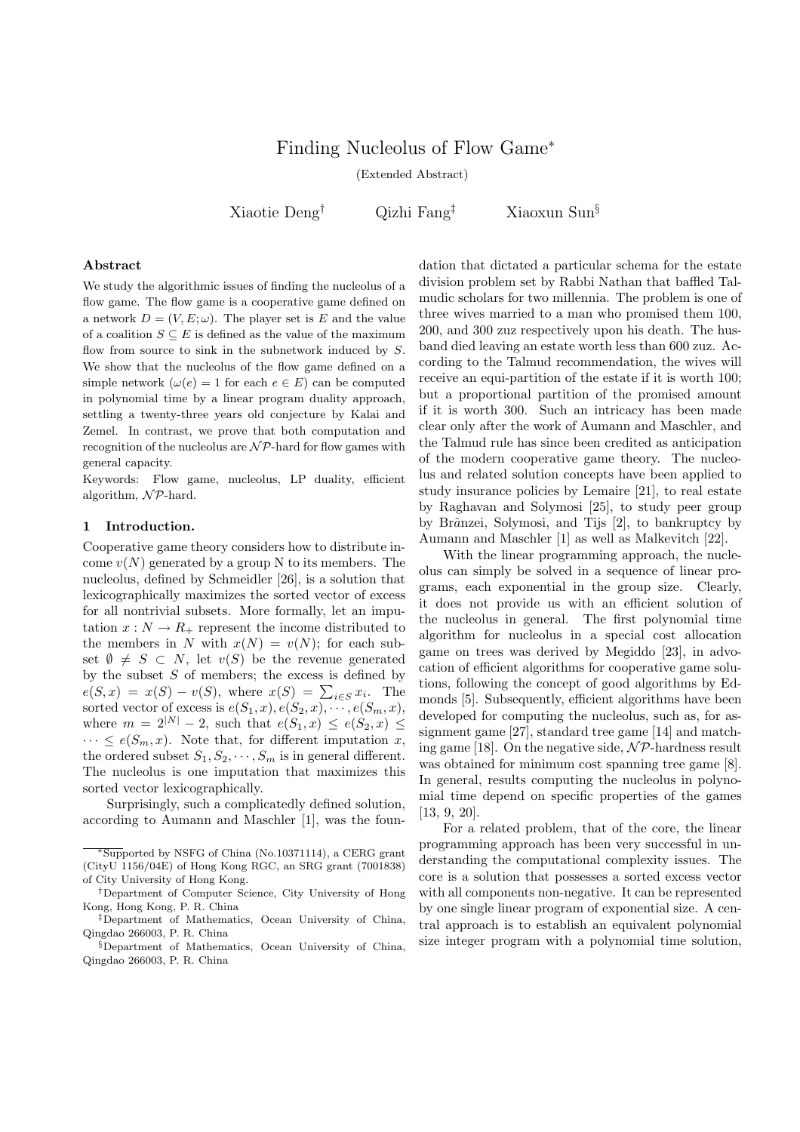# Finding Nucleolus of Flow Game<sup>∗</sup>

(Extended Abstract)

Xiaotie Deng† Qizhi Fang‡ Xiaoxun Sun§

#### Abstract

We study the algorithmic issues of finding the nucleolus of a flow game. The flow game is a cooperative game defined on a network  $D = (V, E; \omega)$ . The player set is E and the value of a coalition  $S \subseteq E$  is defined as the value of the maximum flow from source to sink in the subnetwork induced by S. We show that the nucleolus of the flow game defined on a simple network  $(\omega(e) = 1$  for each  $e \in E$ ) can be computed in polynomial time by a linear program duality approach, settling a twenty-three years old conjecture by Kalai and Zemel. In contrast, we prove that both computation and recognition of the nucleolus are  $N\mathcal{P}$ -hard for flow games with general capacity.

Keywords: Flow game, nucleolus, LP duality, efficient algorithm,  $\mathcal{NP}$ -hard.

## 1 Introduction.

Cooperative game theory considers how to distribute income  $v(N)$  generated by a group N to its members. The nucleolus, defined by Schmeidler [26], is a solution that lexicographically maximizes the sorted vector of excess for all nontrivial subsets. More formally, let an imputation  $x : N \to R_+$  represent the income distributed to the members in N with  $x(N) = v(N)$ ; for each subset  $\emptyset \neq S \subset N$ , let  $v(S)$  be the revenue generated by the subset  $S$  of members; the excess is defined by by the subset 5 of members; the excess is defined by  $e(S, x) = x(S) - v(S)$ , where  $x(S) = \sum_{i \in S} x_i$ . The sorted vector of excess is  $e(S_1, x), e(S_2, x), \cdots, e(S_m, x),$ where  $m = 2^{|N|} - 2$ , such that  $e(S_1, x) \leq e(S_2, x)$  $\cdots \leq e(S_m, x)$ . Note that, for different imputation x, the ordered subset  $S_1, S_2, \cdots, S_m$  is in general different. The nucleolus is one imputation that maximizes this sorted vector lexicographically.

Surprisingly, such a complicatedly defined solution, according to Aumann and Maschler [1], was the foun-

<sup>∗</sup>Supported by NSFG of China (No.10371114), a CERG grant (CityU 1156/04E) of Hong Kong RGC, an SRG grant (7001838) of City University of Hong Kong.

dation that dictated a particular schema for the estate division problem set by Rabbi Nathan that baffled Talmudic scholars for two millennia. The problem is one of three wives married to a man who promised them 100, 200, and 300 zuz respectively upon his death. The husband died leaving an estate worth less than 600 zuz. According to the Talmud recommendation, the wives will receive an equi-partition of the estate if it is worth 100; but a proportional partition of the promised amount if it is worth 300. Such an intricacy has been made clear only after the work of Aumann and Maschler, and the Talmud rule has since been credited as anticipation of the modern cooperative game theory. The nucleolus and related solution concepts have been applied to study insurance policies by Lemaire [21], to real estate by Raghavan and Solymosi [25], to study peer group by Brânzei, Solymosi, and Tijs [2], to bankruptcy by Aumann and Maschler [1] as well as Malkevitch [22].

With the linear programming approach, the nucleolus can simply be solved in a sequence of linear programs, each exponential in the group size. Clearly, it does not provide us with an efficient solution of the nucleolus in general. The first polynomial time algorithm for nucleolus in a special cost allocation game on trees was derived by Megiddo [23], in advocation of efficient algorithms for cooperative game solutions, following the concept of good algorithms by Edmonds [5]. Subsequently, efficient algorithms have been developed for computing the nucleolus, such as, for assignment game [27], standard tree game [14] and matching game [18]. On the negative side,  $N\mathcal{P}$ -hardness result was obtained for minimum cost spanning tree game [8]. In general, results computing the nucleolus in polynomial time depend on specific properties of the games [13, 9, 20].

For a related problem, that of the core, the linear programming approach has been very successful in understanding the computational complexity issues. The core is a solution that possesses a sorted excess vector with all components non-negative. It can be represented by one single linear program of exponential size. A central approach is to establish an equivalent polynomial size integer program with a polynomial time solution,

<sup>†</sup>Department of Computer Science, City University of Hong Kong, Hong Kong, P. R. China

<sup>‡</sup>Department of Mathematics, Ocean University of China, Qingdao 266003, P. R. China

<sup>§</sup>Department of Mathematics, Ocean University of China, Qingdao 266003, P. R. China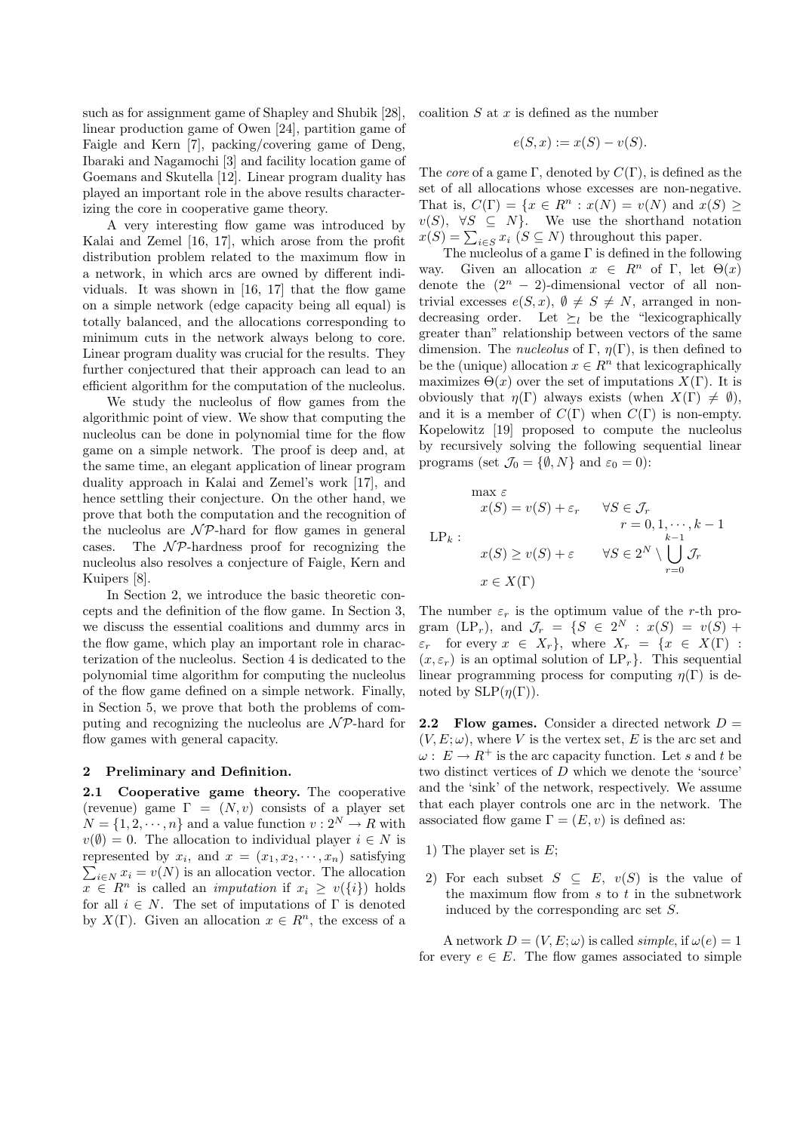such as for assignment game of Shapley and Shubik [28], linear production game of Owen [24], partition game of Faigle and Kern [7], packing/covering game of Deng, Ibaraki and Nagamochi [3] and facility location game of Goemans and Skutella [12]. Linear program duality has played an important role in the above results characterizing the core in cooperative game theory.

A very interesting flow game was introduced by Kalai and Zemel [16, 17], which arose from the profit distribution problem related to the maximum flow in a network, in which arcs are owned by different individuals. It was shown in [16, 17] that the flow game on a simple network (edge capacity being all equal) is totally balanced, and the allocations corresponding to minimum cuts in the network always belong to core. Linear program duality was crucial for the results. They further conjectured that their approach can lead to an efficient algorithm for the computation of the nucleolus.

We study the nucleolus of flow games from the algorithmic point of view. We show that computing the nucleolus can be done in polynomial time for the flow game on a simple network. The proof is deep and, at the same time, an elegant application of linear program duality approach in Kalai and Zemel's work [17], and hence settling their conjecture. On the other hand, we prove that both the computation and the recognition of the nucleolus are  $N\mathcal{P}$ -hard for flow games in general cases. The  $\mathcal{NP}$ -hardness proof for recognizing the nucleolus also resolves a conjecture of Faigle, Kern and Kuipers [8].

In Section 2, we introduce the basic theoretic concepts and the definition of the flow game. In Section 3, we discuss the essential coalitions and dummy arcs in the flow game, which play an important role in characterization of the nucleolus. Section 4 is dedicated to the polynomial time algorithm for computing the nucleolus of the flow game defined on a simple network. Finally, in Section 5, we prove that both the problems of computing and recognizing the nucleolus are  $\mathcal{NP}$ -hard for flow games with general capacity.

### 2 Preliminary and Definition.

2.1 Cooperative game theory. The cooperative (revenue) game  $\Gamma = (N, v)$  consists of a player set  $N = \{1, 2, \dots, n\}$  and a value function  $v: 2^N \to R$  with  $v(\emptyset) = 0$ . The allocation to individual player  $i \in N$  is represented by  $x_i$ , and  $x = (x_1, x_2, \dots, x_n)$  satisfying  $\sum_{i\in N} x_i = v(N)$  is an allocation vector. The allocation  $x \in \mathbb{R}^n$  is called an *imputation* if  $x_i \geq v(\{i\})$  holds for all  $i \in N$ . The set of imputations of  $\Gamma$  is denoted by  $X(\Gamma)$ . Given an allocation  $x \in \mathbb{R}^n$ , the excess of a coalition  $S$  at  $x$  is defined as the number

$$
e(S, x) := x(S) - v(S).
$$

The *core* of a game Γ, denoted by  $C(\Gamma)$ , is defined as the set of all allocations whose excesses are non-negative. That is,  $C(\Gamma) = \{x \in R^n : x(N) = v(N) \text{ and } x(S) \geq$  $v(S)$ ,  $\forall S \subseteq N$ . We use the shorthand notation  $x(S) = \sum_{i \in S} x_i$  ( $S \subseteq N$ ) throughout this paper.

The nucleolus of a game  $\Gamma$  is defined in the following way. Given an allocation  $x \in R^n$  of Γ, let  $\Theta(x)$ denote the  $(2^n - 2)$ -dimensional vector of all nontrivial excesses  $e(S, x)$ ,  $\emptyset \neq S \neq N$ , arranged in nondecreasing order. Let  $\succeq_l$  be the "lexicographically" greater than" relationship between vectors of the same dimension. The *nucleolus* of Γ,  $\eta(\Gamma)$ , is then defined to be the (unique) allocation  $x \in R^n$  that lexicographically maximizes  $\Theta(x)$  over the set of imputations  $X(\Gamma)$ . It is obviously that  $\eta(\Gamma)$  always exists (when  $X(\Gamma) \neq \emptyset$ ), and it is a member of  $C(\Gamma)$  when  $C(\Gamma)$  is non-empty. Kopelowitz [19] proposed to compute the nucleolus by recursively solving the following sequential linear programs (set  $\mathcal{J}_0 = \{\emptyset, N\}$  and  $\varepsilon_0 = 0$ ):

$$
\max \varepsilon
$$
  
\n
$$
x(S) = v(S) + \varepsilon_r \quad \forall S \in \mathcal{J}_r
$$
  
\n
$$
r = 0, 1, \dots, k - 1
$$
  
\n
$$
\text{LP}_k:
$$
  
\n
$$
x(S) \ge v(S) + \varepsilon \quad \forall S \in 2^N \setminus \bigcup_{r=0}^{k-1} \mathcal{J}_r
$$
  
\n
$$
x \in X(\Gamma)
$$

The number  $\varepsilon_r$  is the optimum value of the r-th program (LP<sub>r</sub>), and  $\mathcal{J}_r = \{S \in 2^N : x(S) = v(S) + \}$  $\varepsilon_r$  for every  $x \in X_r$ , where  $X_r = \{x \in X(\Gamma) :$  $(x, \varepsilon_r)$  is an optimal solution of  $LP_r$ . This sequential linear programming process for computing  $n(\Gamma)$  is denoted by  $SLP(\eta(\Gamma)).$ 

**2.2** Flow games. Consider a directed network  $D =$  $(V, E; \omega)$ , where V is the vertex set, E is the arc set and  $\omega: E \to R^+$  is the arc capacity function. Let s and t be two distinct vertices of D which we denote the 'source' and the 'sink' of the network, respectively. We assume that each player controls one arc in the network. The associated flow game  $\Gamma = (E, v)$  is defined as:

- 1) The player set is  $E$ ;
- 2) For each subset  $S \subseteq E$ ,  $v(S)$  is the value of the maximum flow from  $s$  to  $t$  in the subnetwork induced by the corresponding arc set S.

A network  $D = (V, E; \omega)$  is called *simple*, if  $\omega(e) = 1$ for every  $e \in E$ . The flow games associated to simple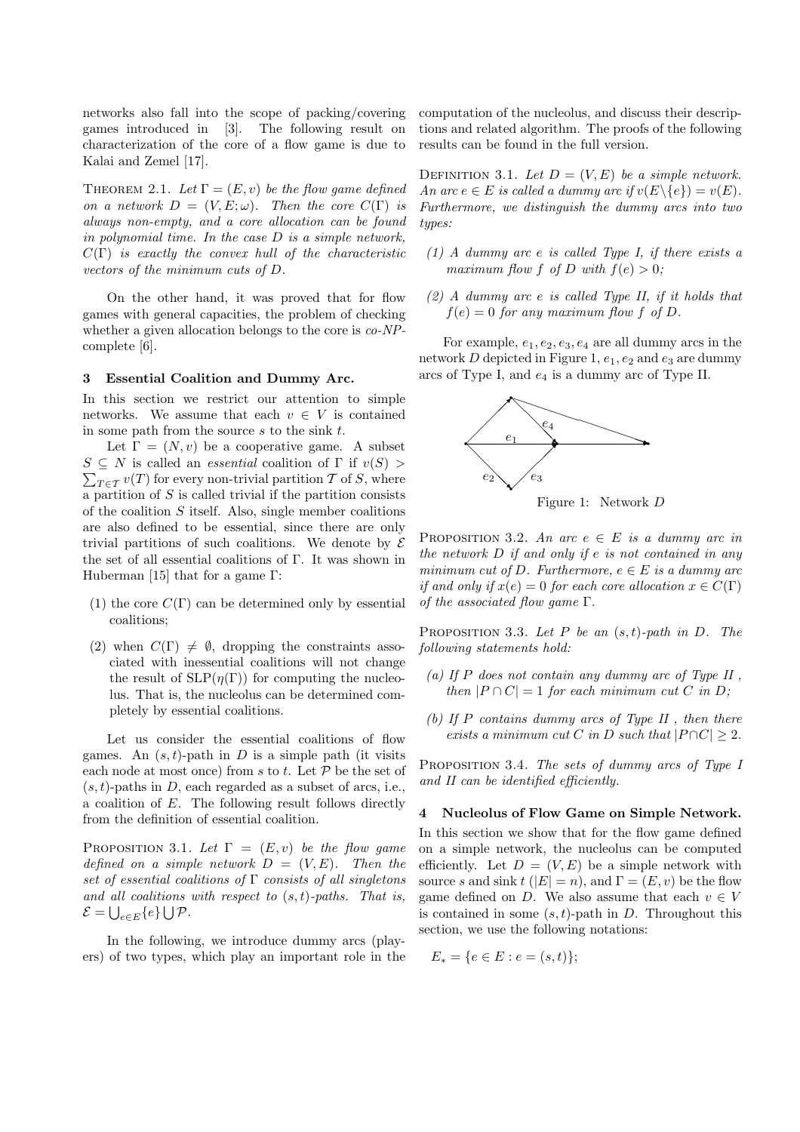networks also fall into the scope of packing/covering games introduced in [3]. The following result on characterization of the core of a flow game is due to Kalai and Zemel [17].

THEOREM 2.1. Let  $\Gamma = (E, v)$  be the flow game defined on a network  $D = (V, E; \omega)$ . Then the core  $C(\Gamma)$  is always non-empty, and a core allocation can be found in polynomial time. In the case D is a simple network,  $C(\Gamma)$  is exactly the convex hull of the characteristic vectors of the minimum cuts of D.

On the other hand, it was proved that for flow games with general capacities, the problem of checking whether a given allocation belongs to the core is  $co-NP$ complete [6].

### 3 Essential Coalition and Dummy Arc.

In this section we restrict our attention to simple networks. We assume that each  $v \in V$  is contained in some path from the source  $s$  to the sink  $t$ .

Let  $\Gamma = (N, v)$  be a cooperative game. A subset  $S \subseteq N$  is called an *essential* coalition of  $\Gamma$  if  $v(S) >$  $\sum_{T \in \mathcal{T}} v(T)$  for every non-trivial partition T of S, where a partition of  $S$  is called trivial if the partition consists of the coalition  $S$  itself. Also, single member coalitions are also defined to be essential, since there are only trivial partitions of such coalitions. We denote by  $\mathcal E$ the set of all essential coalitions of Γ. It was shown in Huberman [15] that for a game Γ:

- (1) the core  $C(\Gamma)$  can be determined only by essential coalitions;
- (2) when  $C(\Gamma) \neq \emptyset$ , dropping the constraints associated with inessential coalitions will not change the result of  $SLP(\eta(\Gamma))$  for computing the nucleolus. That is, the nucleolus can be determined completely by essential coalitions.

Let us consider the essential coalitions of flow games. An  $(s, t)$ -path in D is a simple path (it visits each node at most once) from s to t. Let  $P$  be the set of  $(s, t)$ -paths in D, each regarded as a subset of arcs, i.e., a coalition of E. The following result follows directly from the definition of essential coalition.

PROPOSITION 3.1. Let  $\Gamma = (E, v)$  be the flow game defined on a simple network  $D = (V, E)$ . Then the set of essential coalitions of  $\Gamma$  consists of all singletons and all coalitions with respect to  $(s,t)$ -paths. That is,  $\mathcal{E} = \bigcup_{e \in E} \{e\} \bigcup \mathcal{P}.$ 

In the following, we introduce dummy arcs (players) of two types, which play an important role in the computation of the nucleolus, and discuss their descriptions and related algorithm. The proofs of the following results can be found in the full version.

DEFINITION 3.1. Let  $D = (V, E)$  be a simple network. An arc  $e \in E$  is called a dummy arc if  $v(E \setminus \{e\}) = v(E)$ . Furthermore, we distinguish the dummy arcs into two types:

- $(1)$  A dummy arc e is called Type I, if there exists a maximum flow f of D with  $f(e) > 0$ ;
- $(2)$  A dummy arc e is called Type II, if it holds that  $f(e) = 0$  for any maximum flow f of D.

For example,  $e_1, e_2, e_3, e_4$  are all dummy arcs in the network D depicted in Figure 1,  $e_1, e_2$  and  $e_3$  are dummy arcs of Type I, and  $e_4$  is a dummy arc of Type II.



Figure 1: Network D

PROPOSITION 3.2. An arc  $e \in E$  is a dummy arc in the network D if and only if e is not contained in any minimum cut of D. Furthermore,  $e \in E$  is a dummy arc if and only if  $x(e) = 0$  for each core allocation  $x \in C(\Gamma)$ of the associated flow game  $\Gamma$ .

PROPOSITION 3.3. Let P be an  $(s, t)$ -path in D. The following statements hold:

- (a) If P does not contain any dummy arc of Type  $II$ . then  $|P \cap C| = 1$  for each minimum cut C in D;
- (b) If P contains dummy arcs of Type II, then there exists a minimum cut C in D such that  $|P \cap C| \geq 2$ .

PROPOSITION 3.4. The sets of dummy arcs of Type I and II can be identified efficiently.

#### 4 Nucleolus of Flow Game on Simple Network.

In this section we show that for the flow game defined on a simple network, the nucleolus can be computed efficiently. Let  $D = (V, E)$  be a simple network with source s and sink  $t$  ( $|E| = n$ ), and  $\Gamma = (E, v)$  be the flow game defined on D. We also assume that each  $v \in V$ is contained in some  $(s, t)$ -path in D. Throughout this section, we use the following notations:

$$
E_* = \{ e \in E : e = (s, t) \};
$$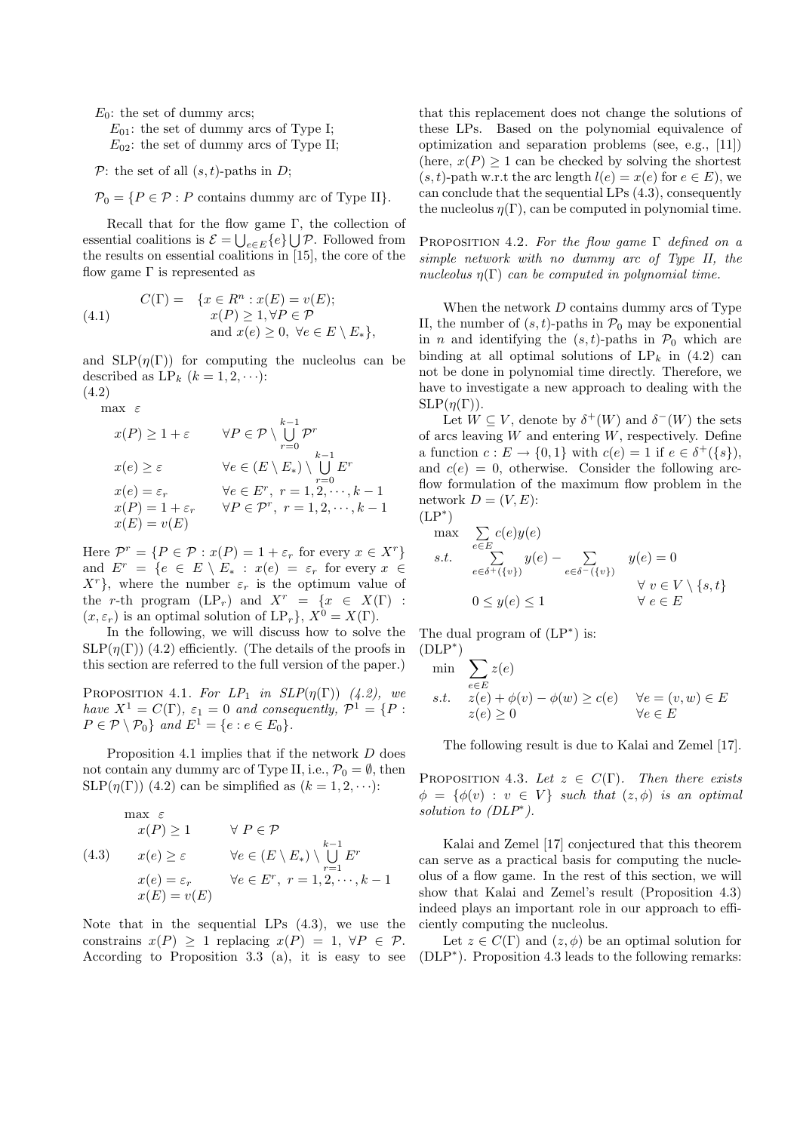$E_0$ : the set of dummy arcs;

 $E_{01}$ : the set of dummy arcs of Type I;  $E_{02}$ : the set of dummy arcs of Type II;

 $\mathcal{P}$ : the set of all  $(s, t)$ -paths in D;

 $\mathcal{P}_0 = \{P \in \mathcal{P} : P \text{ contains dummy arc of Type II}\}.$ 

Recall that for the flow game  $\Gamma$ , the collection of essential coalitions is  $\mathcal{E} = \bigcup_{e \in E} \{e\} \bigcup \mathcal{P}$ . Followed from the results on essential coalitions in [15], the core of the flow game  $\Gamma$  is represented as

(4.1) 
$$
C(\Gamma) = \{x \in R^n : x(E) = v(E); x(P) \ge 1, \forall P \in \mathcal{P} \text{and } x(e) \ge 0, \forall e \in E \setminus E_* \},
$$

and  $SLP(\eta(\Gamma))$  for computing the nucleolus can be described as  $LP_k$   $(k = 1, 2, \cdots)$ :

(4.2) max  $\varepsilon$ 

$$
x(P) \ge 1 + \varepsilon \qquad \forall P \in \mathcal{P} \setminus \bigcup_{r=0}^{k-1} \mathcal{P}^r
$$
  
\n
$$
x(e) \ge \varepsilon \qquad \forall e \in (E \setminus E_*) \setminus \bigcup_{r=0}^{k-1} E^r
$$
  
\n
$$
x(e) = \varepsilon_r \qquad \forall e \in E^r, r = 1, 2, \dots, k-1
$$
  
\n
$$
x(P) = 1 + \varepsilon_r \qquad \forall P \in \mathcal{P}^r, r = 1, 2, \dots, k-1
$$
  
\n
$$
x(E) = v(E)
$$

Here  $\mathcal{P}^r = \{P \in \mathcal{P} : x(P) = 1 + \varepsilon_r \text{ for every } x \in X^r\}$ and  $E^r = \{e \in E \setminus E_* : x(e) = \varepsilon_r \text{ for every } x \in$  $X<sup>r</sup>$ , where the number  $\varepsilon_r$  is the optimum value of the r-th program  $(LP_r)$  and  $X^r = \{x \in X(\Gamma) :$  $(x, \varepsilon_r)$  is an optimal solution of  $LP_r$ ,  $X^0 = X(\Gamma)$ .

In the following, we will discuss how to solve the  $SLP(\eta(\Gamma))$  (4.2) efficiently. (The details of the proofs in this section are referred to the full version of the paper.)

PROPOSITION 4.1. For  $LP_1$  in  $SLP(\eta(\Gamma))$  (4.2), we have  $X^1 = C(\Gamma)$ ,  $\varepsilon_1 = 0$  and consequently,  $\mathcal{P}^1 = \{P :$  $P \in \mathcal{P} \setminus \mathcal{P}_0$  and  $E^1 = \{e : e \in E_0\}.$ 

Proposition 4.1 implies that if the network D does not contain any dummy arc of Type II, i.e.,  $\mathcal{P}_0 = \emptyset$ , then SLP( $\eta(\Gamma)$ ) (4.2) can be simplified as  $(k = 1, 2, \cdots)$ :

$$
\max \varepsilon
$$
  
\n
$$
x(P) \ge 1 \qquad \forall P \in \mathcal{P}
$$
  
\n
$$
(4.3) \qquad x(e) \ge \varepsilon \qquad \forall e \in (E \setminus E_*) \setminus \bigcup_{r=1}^{k-1} E^r
$$
  
\n
$$
x(e) = \varepsilon_r \qquad \forall e \in E^r, \ r = 1, 2, \dots, k-1
$$
  
\n
$$
x(E) = v(E)
$$

Note that in the sequential LPs (4.3), we use the constrains  $x(P) > 1$  replacing  $x(P) = 1$ ,  $\forall P \in \mathcal{P}$ . According to Proposition 3.3 (a), it is easy to see that this replacement does not change the solutions of these LPs. Based on the polynomial equivalence of optimization and separation problems (see, e.g., [11]) (here,  $x(P) \geq 1$  can be checked by solving the shortest  $(s, t)$ -path w.r.t the arc length  $l(e) = x(e)$  for  $e \in E$ ), we can conclude that the sequential LPs (4.3), consequently the nucleolus  $\eta(\Gamma)$ , can be computed in polynomial time.

PROPOSITION 4.2. For the flow game  $\Gamma$  defined on a simple network with no dummy arc of Type II, the nucleolus  $\eta(\Gamma)$  can be computed in polynomial time.

When the network  $D$  contains dummy arcs of Type II, the number of  $(s, t)$ -paths in  $\mathcal{P}_0$  may be exponential in *n* and identifying the  $(s, t)$ -paths in  $\mathcal{P}_0$  which are binding at all optimal solutions of  $LP_k$  in (4.2) can not be done in polynomial time directly. Therefore, we have to investigate a new approach to dealing with the  $SLP(\eta(\Gamma)).$ 

Let  $W \subseteq V$ , denote by  $\delta^+(W)$  and  $\delta^-(W)$  the sets of arcs leaving  $W$  and entering  $W$ , respectively. Define a function  $c: E \to \{0,1\}$  with  $c(e) = 1$  if  $e \in \delta^+(\{s\}),$ and  $c(e) = 0$ , otherwise. Consider the following arcflow formulation of the maximum flow problem in the network  $D = (V, E)$ :  $(LP^*)$ 

$$
\begin{array}{ll}\n\text{max} & \sum_{e \in E} c(e)y(e) \\
\text{s.t.} & \sum_{e \in \delta^+(v)} y(e) - \sum_{e \in \delta^-(\{v\})} y(e) = 0 \\
& \forall \ v \in V \setminus \{s, t\} \\
0 \leq y(e) \leq 1 & \forall \ e \in E\n\end{array}
$$

The dual program of  $(LP^*)$  is:

(DLP\*)  
\nmin  
\n
$$
\sum_{e \in E} z(e)
$$
\n*s.t.*  $z(e) + \phi(v) - \phi(w) \ge c(e)$   $\forall e = (v, w) \in E$   
\n $z(e) \ge 0$   $\forall e \in E$ 

The following result is due to Kalai and Zemel [17].

PROPOSITION 4.3. Let  $z \in C(\Gamma)$ . Then there exists  $\phi = {\phi(v) : v \in V}$  such that  $(z, \phi)$  is an optimal solution to (DLP<sup>\*</sup>).

Kalai and Zemel [17] conjectured that this theorem can serve as a practical basis for computing the nucleolus of a flow game. In the rest of this section, we will show that Kalai and Zemel's result (Proposition 4.3) indeed plays an important role in our approach to efficiently computing the nucleolus.

Let  $z \in C(\Gamma)$  and  $(z, \phi)$  be an optimal solution for (DLP<sup>∗</sup> ). Proposition 4.3 leads to the following remarks: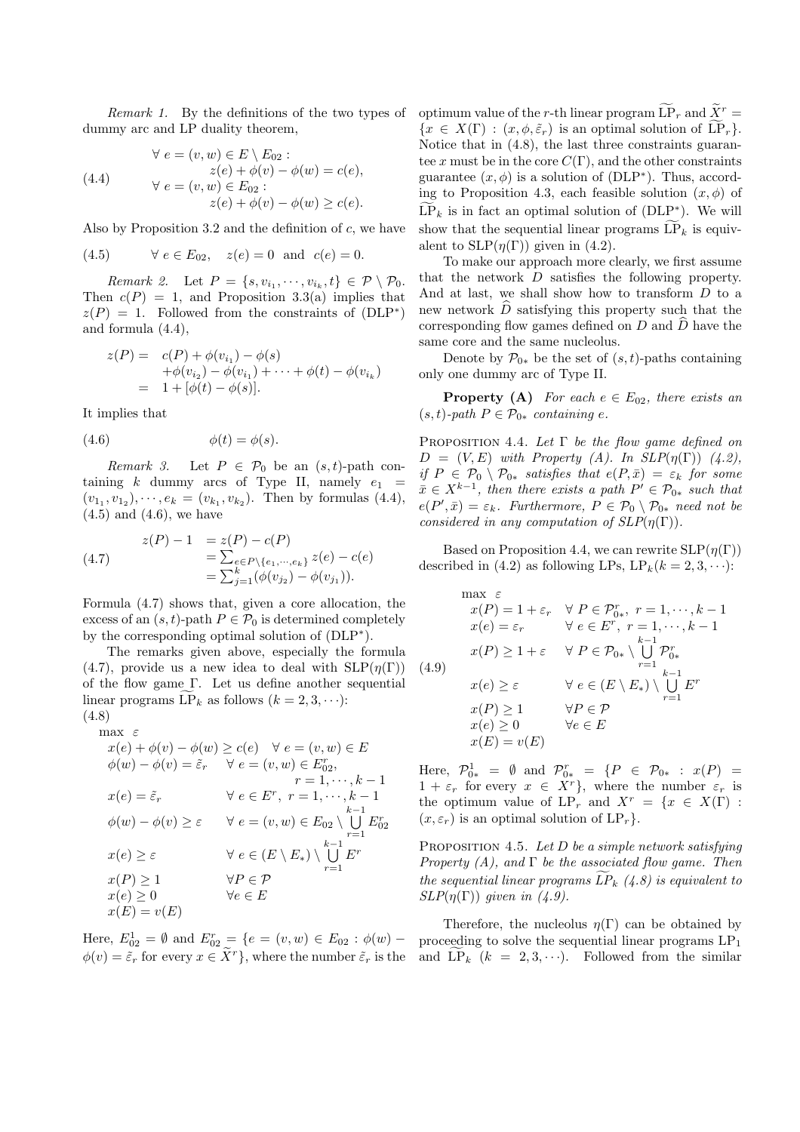Remark 1. By the definitions of the two types of dummy arc and LP duality theorem,

(4.4) 
$$
\forall e = (v, w) \in E \setminus E_{02} :
$$

$$
z(e) + \phi(v) - \phi(w) = c(e),
$$

$$
\forall e = (v, w) \in E_{02} :
$$

$$
z(e) + \phi(v) - \phi(w) \ge c(e).
$$

Also by Proposition 3.2 and the definition of  $c$ , we have

(4.5) 
$$
\forall e \in E_{02}, z(e) = 0 \text{ and } c(e) = 0.
$$

Remark 2. Let  $P = \{s, v_{i_1}, \dots, v_{i_k}, t\} \in \mathcal{P} \setminus \mathcal{P}_0$ . Then  $c(P) = 1$ , and Proposition 3.3(a) implies that  $z(P) = 1$ . Followed from the constraints of  $(DLP^*)$ and formula (4.4),

$$
z(P) = c(P) + \phi(v_{i_1}) - \phi(s)
$$
  
+  $\phi(v_{i_2}) - \phi(v_{i_1}) + \cdots + \phi(t) - \phi(v_{i_k})$   
= 1 +  $[\phi(t) - \phi(s)].$ 

It implies that

$$
(4.6) \qquad \qquad \phi(t) = \phi(s).
$$

Remark 3. Let  $P \in \mathcal{P}_0$  be an  $(s, t)$ -path containing k dummy arcs of Type II, namely  $e_1$  =  $(v_{1_1}, v_{1_2}), \cdots, e_k = (v_{k_1}, v_{k_2}).$  Then by formulas (4.4),  $(4.5)$  and  $(4.6)$ , we have

(4.7) 
$$
z(P) - 1 = z(P) - c(P)
$$

$$
= \sum_{e \in P \setminus \{e_1, \dots, e_k\}} z(e) - c(e)
$$

$$
= \sum_{j=1}^{k} (\phi(v_{j_2}) - \phi(v_{j_1})).
$$

Formula (4.7) shows that, given a core allocation, the excess of an  $(s, t)$ -path  $P \in \mathcal{P}_0$  is determined completely by the corresponding optimal solution of (DLP<sup>∗</sup> ).

The remarks given above, especially the formula (4.7), provide us a new idea to deal with  $SLP(\eta(\Gamma))$ of the flow game Γ. Let us define another sequential linear programs  $\tilde{LP}_k$  as follows  $(k = 2, 3, \cdots)$ : (4.8)

$$
\max_{\text{max}} \varepsilon
$$

$$
x(e) + \phi(v) - \phi(w) \ge c(e) \quad \forall e = (v, w) \in E
$$
  
\n
$$
\phi(w) - \phi(v) = \tilde{\varepsilon}_r \quad \forall e = (v, w) \in E_{02},
$$
  
\n
$$
r = 1, \dots, k - 1
$$
  
\n
$$
x(e) = \tilde{\varepsilon}_r \quad \forall e \in E^r, r = 1, \dots, k - 1
$$
  
\n
$$
\phi(w) - \phi(v) \ge \varepsilon \quad \forall e = (v, w) \in E_{02} \setminus \bigcup_{k=1}^{k-1} E_{02}^r
$$
  
\n
$$
x(e) \ge \varepsilon \quad \forall e \in (E \setminus E_*) \setminus \bigcup_{r=1}^{k-1} E^r
$$
  
\n
$$
x(P) \ge 1 \quad \forall P \in \mathcal{P}
$$
  
\n
$$
x(e) \ge 0 \quad \forall e \in E
$$
  
\n
$$
x(E) = v(E)
$$

Here,  $E_{02}^1 = \emptyset$  and  $E_{02}^r = \{e = (v, w) \in E_{02} : \phi(w) \phi(v) = \tilde{\varepsilon}_r$  for every  $x \in \tilde{X}^r$ , where the number  $\tilde{\varepsilon}_r$  is the

optimum value of the r-th linear program  $\widetilde{\mathrm{LP}}_r$  and  $\widetilde{X}^r$  =  ${x \in X(\Gamma) : (x, \phi, \tilde{\varepsilon}_r)$  is an optimal solution of  $\widetilde{\text{LP}}_r$ . Notice that in (4.8), the last three constraints guarantee x must be in the core  $C(\Gamma)$ , and the other constraints guarantee  $(x, \phi)$  is a solution of (DLP<sup>\*</sup>). Thus, according to Proposition 4.3, each feasible solution  $(x, \phi)$  of  $\widetilde{\mathrm{LP}}_k$  is in fact an optimal solution of (DLP<sup>\*</sup>). We will show that the sequential linear programs  $LP_k$  is equivalent to  $SLP(\eta(\Gamma))$  given in (4.2).

To make our approach more clearly, we first assume that the network D satisfies the following property. And at last, we shall show how to transform D to a new network  $\overline{D}$  satisfying this property such that the corresponding flow games defined on  $D$  and  $D$  have the same core and the same nucleolus.

Denote by  $\mathcal{P}_{0*}$  be the set of  $(s, t)$ -paths containing only one dummy arc of Type II.

**Property (A)** For each  $e \in E_{02}$ , there exists an  $(s, t)$ -path  $P \in \mathcal{P}_{0*}$  containing e.

PROPOSITION 4.4. Let  $\Gamma$  be the flow game defined on  $D = (V, E)$  with Property (A). In  $SLP(\eta(\Gamma))$  (4.2), if  $P \in \mathcal{P}_0 \setminus \mathcal{P}_{0*}$  satisfies that  $e(P, \bar{x}) = \varepsilon_k$  for some  $\bar{x} \in X^{k-1}$ , then there exists a path  $P' \in \mathcal{P}_{0*}$  such that  $e(P', \bar{x}) = \varepsilon_k$ . Furthermore,  $P \in \mathcal{P}_0 \setminus \mathcal{P}_{0*}$  need not be considered in any computation of  $SLP(\eta(\Gamma)).$ 

Based on Proposition 4.4, we can rewrite  $SLP(\eta(\Gamma))$ described in (4.2) as following LPs,  $LP_k(k = 2, 3, \cdots)$ :

$$
\max \varepsilon
$$
  
\n
$$
x(P) = 1 + \varepsilon_r \quad \forall P \in \mathcal{P}_{0*}^r, r = 1, \dots, k - 1
$$
  
\n
$$
x(e) = \varepsilon_r \quad \forall e \in E^r, r = 1, \dots, k - 1
$$
  
\n
$$
x(P) \ge 1 + \varepsilon \quad \forall P \in \mathcal{P}_{0*} \setminus \bigcup_{r=1}^{k-1} \mathcal{P}_{0*}^r
$$
  
\n(4.9)  
\n
$$
x(e) \ge \varepsilon \quad \forall e \in (E \setminus E_*) \setminus \bigcup_{r=1}^{k-1} E^r
$$
  
\n
$$
x(P) \ge 1 \quad \forall P \in \mathcal{P}
$$
  
\n
$$
x(e) \ge 0 \quad \forall e \in E
$$
  
\n
$$
x(E) = v(E)
$$

Here,  $\mathcal{P}_{0*}^1 = \emptyset$  and  $\mathcal{P}_{0*}^r = \{P \in \mathcal{P}_{0*} : x(P) =$  $1 + \varepsilon_r$  for every  $x \in X^r$ , where the number  $\varepsilon_r$  is the optimum value of  $LP_r$  and  $X^r = \{x \in X(\Gamma) :$  $(x, \varepsilon_r)$  is an optimal solution of  $LP_r$ .

PROPOSITION 4.5. Let  $D$  be a simple network satisfying Property  $(A)$ , and  $\Gamma$  be the associated flow game. Then the sequential linear programs  $LP_k$  (4.8) is equivalent to  $SLP(\eta(\Gamma))$  given in (4.9).

Therefore, the nucleolus  $\eta(\Gamma)$  can be obtained by proceeding to solve the sequential linear programs  $LP_1$ and  $\widetilde{\text{LP}}_k$   $(k = 2, 3, \cdots)$ . Followed from the similar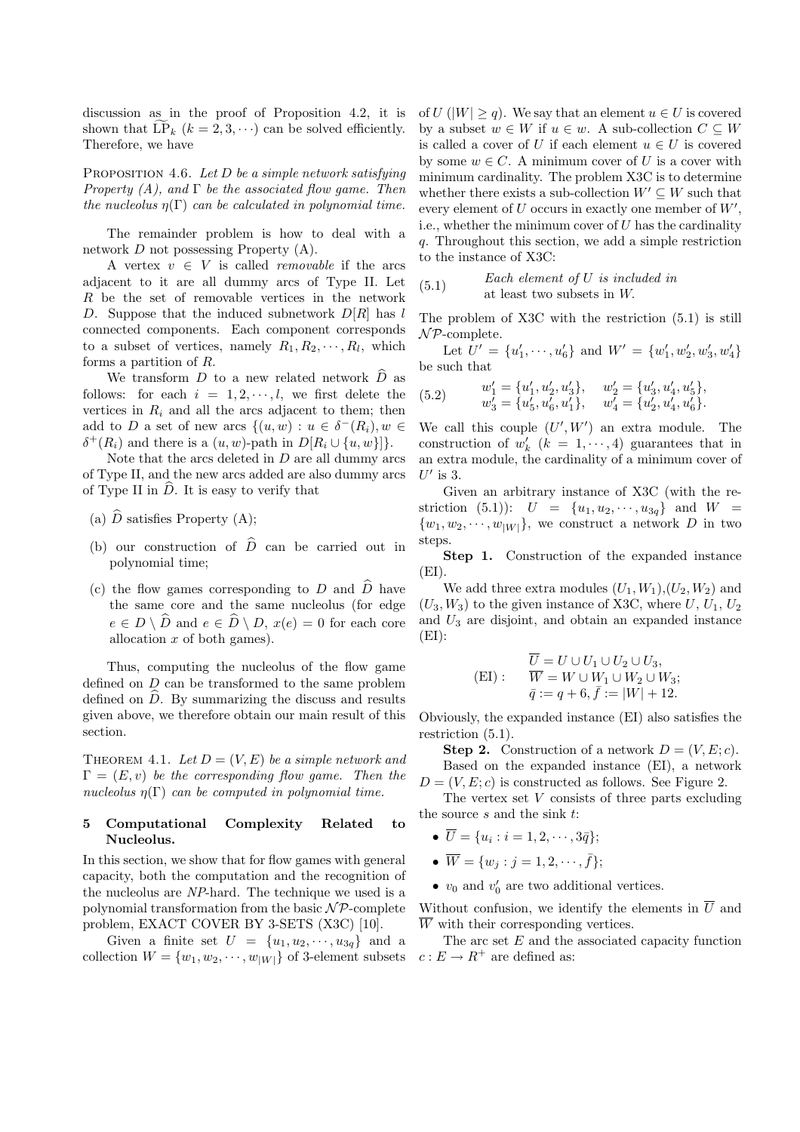discussion as in the proof of Proposition 4.2, it is shown that  $\widetilde{\text{LP}}_k$   $(k = 2, 3, \cdots)$  can be solved efficiently. Therefore, we have

PROPOSITION 4.6. Let  $D$  be a simple network satisfying Property  $(A)$ , and  $\Gamma$  be the associated flow game. Then the nucleolus  $\eta(\Gamma)$  can be calculated in polynomial time.

The remainder problem is how to deal with a network D not possessing Property (A).

A vertex  $v \in V$  is called *removable* if the arcs adjacent to it are all dummy arcs of Type II. Let R be the set of removable vertices in the network D. Suppose that the induced subnetwork  $D[R]$  has l connected components. Each component corresponds to a subset of vertices, namely  $R_1, R_2, \cdots, R_l$ , which forms a partition of R.

We transform D to a new related network  $\widehat{D}$  as follows: for each  $i = 1, 2, \dots, l$ , we first delete the vertices in  $R_i$  and all the arcs adjacent to them; then add to D a set of new arcs  $\{(u, w) : u \in \delta^-(R_i), w \in$  $\delta^+(R_i)$  and there is a  $(u, w)$ -path in  $D[R_i \cup \{u, w\}]\}.$ 

Note that the arcs deleted in  $D$  are all dummy arcs of Type II, and the new arcs added are also dummy arcs of Type II in  $\ddot{D}$ . It is easy to verify that

- (a)  $\widehat{D}$  satisfies Property (A);
- (b) our construction of  $\hat{D}$  can be carried out in polynomial time;
- (c) the flow games corresponding to D and  $\widehat{D}$  have the same core and the same nucleolus (for edge  $e \in D \setminus \widehat{D}$  and  $e \in \widehat{D} \setminus D$ ,  $x(e) = 0$  for each core allocation x of both games).

Thus, computing the nucleolus of the flow game defined on D can be transformed to the same problem defined on  $\widehat{D}$ . By summarizing the discuss and results given above, we therefore obtain our main result of this section.

THEOREM 4.1. Let  $D = (V, E)$  be a simple network and  $\Gamma = (E, v)$  be the corresponding flow game. Then the nucleolus  $\eta(\Gamma)$  can be computed in polynomial time.

## 5 Computational Complexity Related to Nucleolus.

In this section, we show that for flow games with general capacity, both the computation and the recognition of the nucleolus are NP-hard. The technique we used is a polynomial transformation from the basic  $N\mathcal{P}$ -complete problem, EXACT COVER BY 3-SETS (X3C) [10].

Given a finite set  $U = \{u_1, u_2, \dots, u_{3q}\}\$ and a collection  $W = \{w_1, w_2, \cdots, w_{|W|}\}\$  of 3-element subsets of  $U(|W| > q)$ . We say that an element  $u \in U$  is covered by a subset  $w \in W$  if  $u \in w$ . A sub-collection  $C \subseteq W$ is called a cover of U if each element  $u \in U$  is covered by some  $w \in C$ . A minimum cover of U is a cover with minimum cardinality. The problem X3C is to determine whether there exists a sub-collection  $W' \subseteq W$  such that every element of  $U$  occurs in exactly one member of  $W'$ , i.e., whether the minimum cover of  $U$  has the cardinality q. Throughout this section, we add a simple restriction to the instance of X3C:

 $(5.1)$  Each element of U is included in at least two subsets in W.

The problem of X3C with the restriction (5.1) is still  $\mathcal{NP}$ -complete.

Let  $U' = \{u'_1, \dots, u'_6\}$  and  $W' = \{w'_1, w'_2, w'_3, w'_4\}$ be such that

(5.2) 
$$
w'_1 = \{u'_1, u'_2, u'_3\}, \quad w'_2 = \{u'_3, u'_4, u'_5\},
$$

$$
w'_3 = \{u'_5, u'_6, u'_1\}, \quad w'_4 = \{u'_2, u'_4, u'_6\}.
$$

We call this couple  $(U', W')$  an extra module. The construction of  $w'_k$   $(k = 1, \dots, 4)$  guarantees that in an extra module, the cardinality of a minimum cover of  $U'$  is 3.

Given an arbitrary instance of X3C (with the restriction (5.1)):  $U = \{u_1, u_2, \dots, u_{3g}\}$  and  $W =$  $\{w_1, w_2, \cdots, w_{|W|}\}\$ , we construct a network D in two steps.

Step 1. Construction of the expanded instance  $(EI)$ .

We add three extra modules  $(U_1, W_1), (U_2, W_2)$  and  $(U_3, W_3)$  to the given instance of X3C, where  $U, U_1, U_2$ and  $U_3$  are disjoint, and obtain an expanded instance  $(EI)$ :

$$
\overline{U} = U \cup U_1 \cup U_2 \cup U_3,
$$
  
(EI): 
$$
\overline{W} = W \cup W_1 \cup W_2 \cup W_3;
$$

$$
\overline{q} := q + 6, \overline{f} := |W| + 12.
$$

Obviously, the expanded instance (EI) also satisfies the restriction (5.1).

**Step 2.** Construction of a network  $D = (V, E; c)$ .

Based on the expanded instance (EI), a network  $D = (V, E; c)$  is constructed as follows. See Figure 2.

The vertex set  $V$  consists of three parts excluding the source  $s$  and the sink  $t$ :

- $\overline{U} = \{u_i : i = 1, 2, \cdots, 3\overline{q}\};$
- $\overline{W} = \{w_j : j = 1, 2, \cdots, \overline{f}\};$
- $v_0$  and  $v'_0$  are two additional vertices.

Without confusion, we identify the elements in  $\overline{U}$  and  $\overline{W}$  with their corresponding vertices.

The arc set E and the associated capacity function  $c: E \to R^+$  are defined as: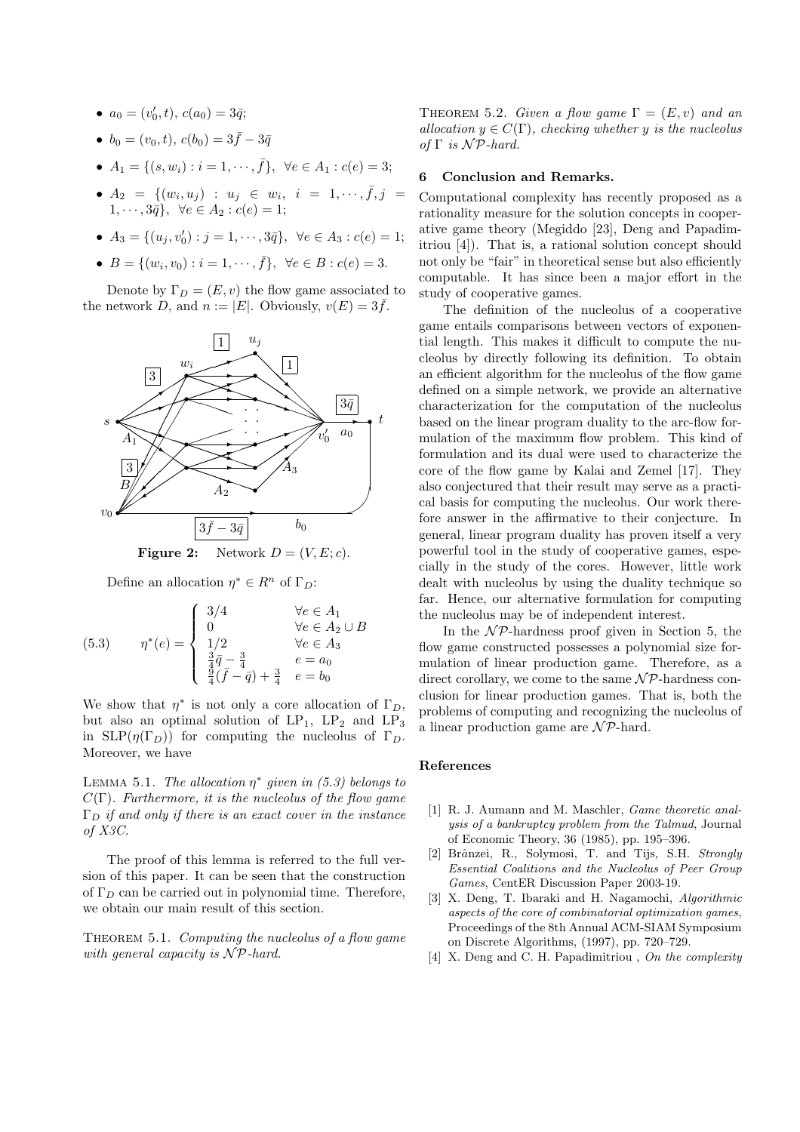- $a_0 = (v'_0, t), c(a_0) = 3\bar{q};$
- $b_0 = (v_0, t), c(b_0) = 3\bar{f} 3\bar{q}$
- $A_1 = \{(s, w_i) : i = 1, \dots, \bar{f}\}, \forall e \in A_1 : c(e) = 3;$
- $A_2 = \{ (w_i, u_j) : u_j \in w_i, i = 1, \dots, \bar{f}, j =$  $1, \cdots, 3\bar{q}$ ,  $\forall e \in A_2 : c(e) = 1;$
- $A_3 = \{(u_j, v'_0) : j = 1, \dots, 3\overline{q}\}, \forall e \in A_3 : c(e) = 1;$
- $B = \{(w_i, v_0) : i = 1, \dots, \bar{f}\}, \forall e \in B : c(e) = 3.$

Denote by  $\Gamma_D = (E, v)$  the flow game associated to the network D, and  $n := |E|$ . Obviously,  $v(E) = 3\bar{f}$ .



**Figure 2:** Network  $D = (V, E; c)$ .

Define an allocation  $\eta^* \in R^n$  of  $\Gamma_D$ :

(5.3) 
$$
\eta^*(e) = \begin{cases} 3/4 & \forall e \in A_1 \\ 0 & \forall e \in A_2 \cup B \\ 1/2 & \forall e \in A_3 \\ \frac{3}{4}\bar{q} - \frac{3}{4} & e = a_0 \\ \frac{9}{4}(\bar{f} - \bar{q}) + \frac{3}{4} & e = b_0 \end{cases}
$$

We show that  $\eta^*$  is not only a core allocation of  $\Gamma_D$ , but also an optimal solution of  $LP_1$ ,  $LP_2$  and  $LP_3$ in  $SLP(\eta(\Gamma_D))$  for computing the nucleolus of  $\Gamma_D$ . Moreover, we have

LEMMA 5.1. The allocation  $\eta^*$  given in (5.3) belongs to  $C(\Gamma)$ . Furthermore, it is the nucleolus of the flow game  $\Gamma_D$  if and only if there is an exact cover in the instance of X3C.

The proof of this lemma is referred to the full version of this paper. It can be seen that the construction of  $\Gamma_D$  can be carried out in polynomial time. Therefore, we obtain our main result of this section.

THEOREM 5.1. Computing the nucleolus of a flow game with general capacity is  $\mathcal{NP}$ -hard.

THEOREM 5.2. Given a flow game  $\Gamma = (E, v)$  and an allocation  $y \in C(\Gamma)$ , checking whether y is the nucleolus of  $\Gamma$  is  $\mathcal{NP}$ -hard.

## 6 Conclusion and Remarks.

Computational complexity has recently proposed as a rationality measure for the solution concepts in cooperative game theory (Megiddo [23], Deng and Papadimitriou [4]). That is, a rational solution concept should not only be "fair" in theoretical sense but also efficiently computable. It has since been a major effort in the study of cooperative games.

The definition of the nucleolus of a cooperative game entails comparisons between vectors of exponential length. This makes it difficult to compute the nucleolus by directly following its definition. To obtain an efficient algorithm for the nucleolus of the flow game defined on a simple network, we provide an alternative characterization for the computation of the nucleolus based on the linear program duality to the arc-flow formulation of the maximum flow problem. This kind of formulation and its dual were used to characterize the core of the flow game by Kalai and Zemel [17]. They also conjectured that their result may serve as a practical basis for computing the nucleolus. Our work therefore answer in the affirmative to their conjecture. In general, linear program duality has proven itself a very powerful tool in the study of cooperative games, especially in the study of the cores. However, little work dealt with nucleolus by using the duality technique so far. Hence, our alternative formulation for computing the nucleolus may be of independent interest.

In the  $N\mathcal{P}$ -hardness proof given in Section 5, the flow game constructed possesses a polynomial size formulation of linear production game. Therefore, as a direct corollary, we come to the same  $\mathcal{NP}$ -hardness conclusion for linear production games. That is, both the problems of computing and recognizing the nucleolus of a linear production game are  $\mathcal{NP}$ -hard.

## References

- [1] R. J. Aumann and M. Maschler, *Game theoretic anal*ysis of a bankruptcy problem from the Talmud, Journal of Economic Theory, 36 (1985), pp. 195–396.
- [2] Brânzei, R., Solymosi, T. and Tijs, S.H. Strongly Essential Coalitions and the Nucleolus of Peer Group Games, CentER Discussion Paper 2003-19.
- [3] X. Deng, T. Ibaraki and H. Nagamochi, Algorithmic aspects of the core of combinatorial optimization games, Proceedings of the 8th Annual ACM-SIAM Symposium on Discrete Algorithms, (1997), pp. 720–729.
- [4] X. Deng and C. H. Papadimitriou, On the complexity